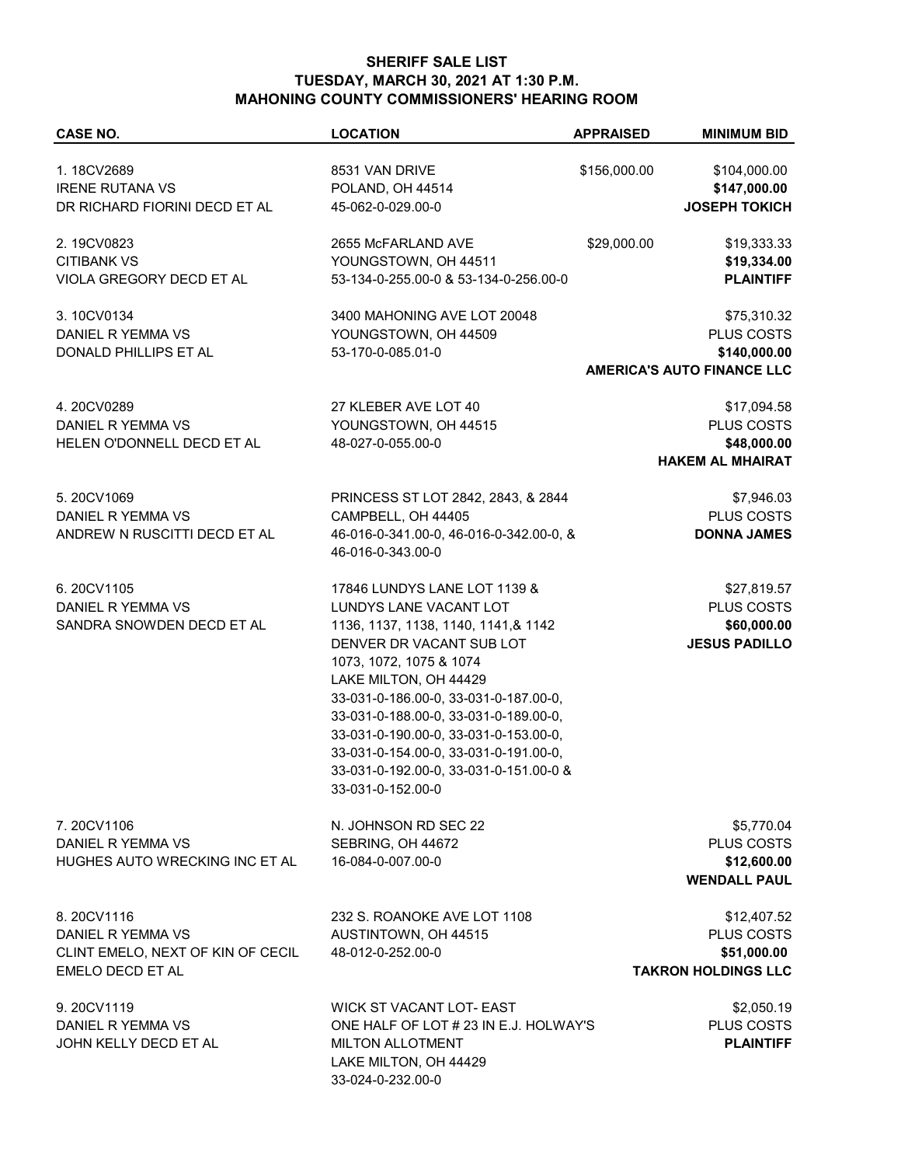## **SHERIFF SALE LIST TUESDAY, MARCH 30, 2021 AT 1:30 P.M. MAHONING COUNTY COMMISSIONERS' HEARING ROOM**

| <b>CASE NO.</b>                                       | <b>LOCATION</b>                                              | <b>APPRAISED</b> | <b>MINIMUM BID</b>                |
|-------------------------------------------------------|--------------------------------------------------------------|------------------|-----------------------------------|
|                                                       |                                                              |                  |                                   |
| 1.18CV2689                                            | 8531 VAN DRIVE                                               | \$156,000.00     | \$104,000.00                      |
| <b>IRENE RUTANA VS</b>                                | POLAND, OH 44514                                             |                  | \$147,000.00                      |
| DR RICHARD FIORINI DECD ET AL                         | 45-062-0-029.00-0                                            |                  | <b>JOSEPH TOKICH</b>              |
| 2.19CV0823                                            | 2655 McFARLAND AVE                                           | \$29,000.00      | \$19,333.33                       |
| <b>CITIBANK VS</b>                                    | YOUNGSTOWN, OH 44511                                         |                  | \$19,334.00                       |
| VIOLA GREGORY DECD ET AL                              | 53-134-0-255.00-0 & 53-134-0-256.00-0                        |                  | <b>PLAINTIFF</b>                  |
| 3.10CV0134                                            | 3400 MAHONING AVE LOT 20048                                  |                  | \$75,310.32                       |
| DANIEL R YEMMA VS                                     | YOUNGSTOWN, OH 44509                                         |                  | PLUS COSTS                        |
| DONALD PHILLIPS ET AL                                 | 53-170-0-085.01-0                                            |                  | \$140,000.00                      |
|                                                       |                                                              |                  | <b>AMERICA'S AUTO FINANCE LLC</b> |
| 4.20CV0289                                            | 27 KLEBER AVE LOT 40                                         |                  | \$17,094.58                       |
| DANIEL R YEMMA VS                                     | YOUNGSTOWN, OH 44515                                         |                  | PLUS COSTS                        |
| HELEN O'DONNELL DECD ET AL                            | 48-027-0-055.00-0                                            |                  | \$48,000.00                       |
|                                                       |                                                              |                  | <b>HAKEM AL MHAIRAT</b>           |
|                                                       |                                                              |                  |                                   |
| 5.20CV1069                                            | PRINCESS ST LOT 2842, 2843, & 2844                           |                  | \$7,946.03                        |
| DANIEL R YEMMA VS                                     | CAMPBELL, OH 44405                                           |                  | PLUS COSTS                        |
| ANDREW N RUSCITTI DECD ET AL                          | 46-016-0-341.00-0, 46-016-0-342.00-0, &<br>46-016-0-343.00-0 |                  | <b>DONNA JAMES</b>                |
| 6.20CV1105                                            | 17846 LUNDYS LANE LOT 1139 &                                 |                  | \$27,819.57                       |
| DANIEL R YEMMA VS                                     | LUNDYS LANE VACANT LOT                                       |                  | PLUS COSTS                        |
| SANDRA SNOWDEN DECD ET AL                             | 1136, 1137, 1138, 1140, 1141, & 1142                         |                  | \$60,000.00                       |
|                                                       | DENVER DR VACANT SUB LOT                                     |                  | <b>JESUS PADILLO</b>              |
|                                                       | 1073, 1072, 1075 & 1074                                      |                  |                                   |
|                                                       | LAKE MILTON, OH 44429                                        |                  |                                   |
|                                                       | 33-031-0-186.00-0, 33-031-0-187.00-0,                        |                  |                                   |
|                                                       | 33-031-0-188.00-0, 33-031-0-189.00-0,                        |                  |                                   |
|                                                       | 33-031-0-190.00-0, 33-031-0-153.00-0,                        |                  |                                   |
|                                                       | 33-031-0-154.00-0, 33-031-0-191.00-0,                        |                  |                                   |
|                                                       | 33-031-0-192.00-0, 33-031-0-151.00-0 &                       |                  |                                   |
|                                                       | 33-031-0-152.00-0                                            |                  |                                   |
| 7.20CV1106                                            | N. JOHNSON RD SEC 22                                         |                  | \$5,770.04                        |
| DANIEL R YEMMA VS                                     | SEBRING, OH 44672                                            |                  | PLUS COSTS                        |
| HUGHES AUTO WRECKING INC ET AL                        | 16-084-0-007.00-0                                            |                  | \$12,600.00                       |
|                                                       |                                                              |                  | <b>WENDALL PAUL</b>               |
| 8.20CV1116                                            | 232 S. ROANOKE AVE LOT 1108                                  |                  | \$12,407.52                       |
| DANIEL R YEMMA VS                                     | AUSTINTOWN, OH 44515                                         |                  | <b>PLUS COSTS</b>                 |
|                                                       | 48-012-0-252.00-0                                            |                  | \$51,000.00                       |
| CLINT EMELO, NEXT OF KIN OF CECIL<br>EMELO DECD ET AL |                                                              |                  | <b>TAKRON HOLDINGS LLC</b>        |
| 9.20CV1119                                            | WICK ST VACANT LOT- EAST                                     |                  | \$2,050.19                        |
| DANIEL R YEMMA VS                                     | ONE HALF OF LOT # 23 IN E.J. HOLWAY'S                        |                  | PLUS COSTS                        |
| JOHN KELLY DECD ET AL                                 | <b>MILTON ALLOTMENT</b>                                      |                  | <b>PLAINTIFF</b>                  |
|                                                       | LAKE MILTON, OH 44429                                        |                  |                                   |
|                                                       | 33-024-0-232.00-0                                            |                  |                                   |
|                                                       |                                                              |                  |                                   |